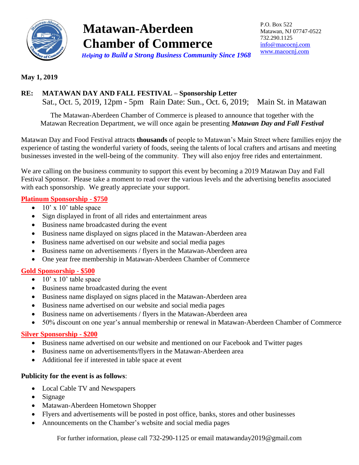

# **Matawan-Aberdeen Chamber of Commerce**  *Helping to Build a Strong Business Community Since 1968*

P.O. Box 522 Matawan, NJ 07747-0522 732.290.1125 [info@macocnj.com](mailto:info@macocnj.com) [www.macocnj.com](http://www.macocnj.com/)

### **May 1, 2019**

## **RE: MATAWAN DAY AND FALL FESTIVAL – Sponsorship Letter**

Sat., Oct. 5, 2019, 12pm - 5pm Rain Date: Sun., Oct. 6, 2019; Main St. in Matawan

The Matawan-Aberdeen Chamber of Commerce is pleased to announce that together with the Matawan Recreation Department, we will once again be presenting *Matawan Day and Fall Festival*

Matawan Day and Food Festival attracts **thousands** of people to Matawan's Main Street where families enjoy the experience of tasting the wonderful variety of foods, seeing the talents of local crafters and artisans and meeting businesses invested in the well-being of the community. They will also enjoy free rides and entertainment.

We are calling on the business community to support this event by becoming a 2019 Matawan Day and Fall Festival Sponsor. Please take a moment to read over the various levels and the advertising benefits associated with each sponsorship. We greatly appreciate your support.

#### **Platinum Sponsorship - \$750**

- $\bullet$  10' x 10' table space
- Sign displayed in front of all rides and entertainment areas
- Business name broadcasted during the event
- Business name displayed on signs placed in the Matawan-Aberdeen area
- Business name advertised on our website and social media pages
- Business name on advertisements / flyers in the Matawan-Aberdeen area
- One year free membership in Matawan-Aberdeen Chamber of Commerce

#### **Gold Sponsorship - \$500**

- $\bullet$  10' x 10' table space
- Business name broadcasted during the event
- Business name displayed on signs placed in the Matawan-Aberdeen area
- Business name advertised on our website and social media pages
- Business name on advertisements / flyers in the Matawan-Aberdeen area
- 50% discount on one year's annual membership or renewal in Matawan-Aberdeen Chamber of Commerce

#### **Silver Sponsorship - \$200**

- Business name advertised on our website and mentioned on our Facebook and Twitter pages
- Business name on advertisements/flyers in the Matawan-Aberdeen area
- Additional fee if interested in table space at event

#### **Publicity for the event is as follows**:

- Local Cable TV and Newspapers
- Signage
- Matawan-Aberdeen Hometown Shopper
- Flyers and advertisements will be posted in post office, banks, stores and other businesses
- Announcements on the Chamber's website and social media pages

For further information, please call 732-290-1125 or email matawanday2019@gmail.com